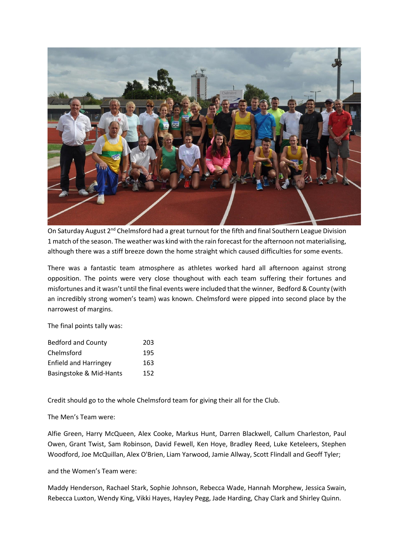

On Saturday August 2<sup>nd</sup> Chelmsford had a great turnout for the fifth and final Southern League Division 1 match of the season. The weather was kind with the rain forecast for the afternoon not materialising, although there was a stiff breeze down the home straight which caused difficulties for some events.

There was a fantastic team atmosphere as athletes worked hard all afternoon against strong opposition. The points were very close thoughout with each team suffering their fortunes and misfortunes and it wasn't until the final events were included that the winner, Bedford & County (with an incredibly strong women's team) was known. Chelmsford were pipped into second place by the narrowest of margins.

The final points tally was:

| <b>Bedford and County</b>    | 203 |
|------------------------------|-----|
| Chelmsford                   | 195 |
| <b>Enfield and Harringey</b> | 163 |
| Basingstoke & Mid-Hants      | 152 |

Credit should go to the whole Chelmsford team for giving their all for the Club.

The Men's Team were:

Alfie Green, Harry McQueen, Alex Cooke, Markus Hunt, Darren Blackwell, Callum Charleston, Paul Owen, Grant Twist, Sam Robinson, David Fewell, Ken Hoye, Bradley Reed, Luke Keteleers, Stephen Woodford, Joe McQuillan, Alex O'Brien, Liam Yarwood, Jamie Allway, Scott Flindall and Geoff Tyler;

and the Women's Team were:

Maddy Henderson, Rachael Stark, Sophie Johnson, Rebecca Wade, Hannah Morphew, Jessica Swain, Rebecca Luxton, Wendy King, Vikki Hayes, Hayley Pegg, Jade Harding, Chay Clark and Shirley Quinn.